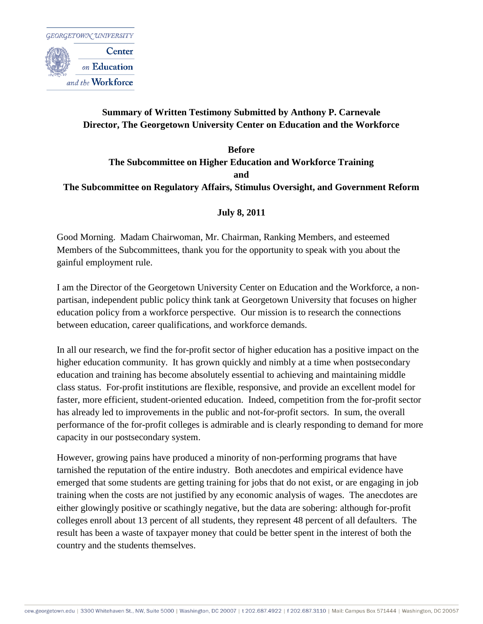

### **Summary of Written Testimony Submitted by Anthony P. Carnevale Director, The Georgetown University Center on Education and the Workforce**

### **Before The Subcommittee on Higher Education and Workforce Training and The Subcommittee on Regulatory Affairs, Stimulus Oversight, and Government Reform**

#### **July 8, 2011**

Good Morning. Madam Chairwoman, Mr. Chairman, Ranking Members, and esteemed Members of the Subcommittees, thank you for the opportunity to speak with you about the gainful employment rule.

I am the Director of the Georgetown University Center on Education and the Workforce, a nonpartisan, independent public policy think tank at Georgetown University that focuses on higher education policy from a workforce perspective. Our mission is to research the connections between education, career qualifications, and workforce demands.

In all our research, we find the for-profit sector of higher education has a positive impact on the higher education community. It has grown quickly and nimbly at a time when postsecondary education and training has become absolutely essential to achieving and maintaining middle class status. For-profit institutions are flexible, responsive, and provide an excellent model for faster, more efficient, student-oriented education. Indeed, competition from the for-profit sector has already led to improvements in the public and not-for-profit sectors. In sum, the overall performance of the for-profit colleges is admirable and is clearly responding to demand for more capacity in our postsecondary system.

However, growing pains have produced a minority of non-performing programs that have tarnished the reputation of the entire industry. Both anecdotes and empirical evidence have emerged that some students are getting training for jobs that do not exist, or are engaging in job training when the costs are not justified by any economic analysis of wages. The anecdotes are either glowingly positive or scathingly negative, but the data are sobering: although for-profit colleges enroll about 13 percent of all students, they represent 48 percent of all defaulters. The result has been a waste of taxpayer money that could be better spent in the interest of both the country and the students themselves.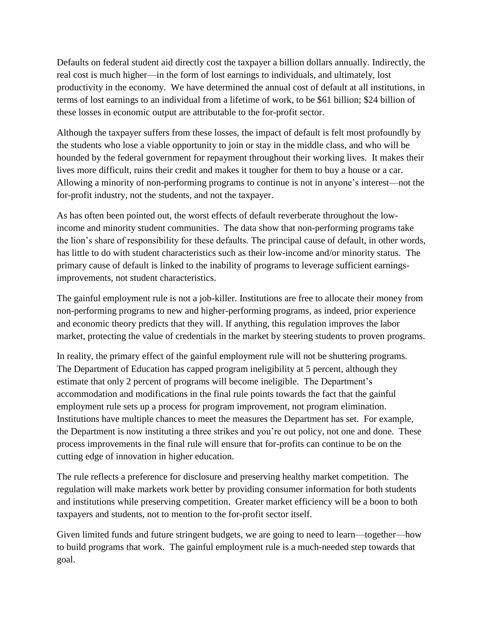Defaults on federal student aid directly cost the taxpayer a billion dollars annually. Indirectly, the real cost is much higher—in the form of lost earnings to individuals, and ultimately, lost productivity in the economy. We have determined the annual cost of default at all institutions, in terms of lost earnings to an individual from a lifetime of work, to be \$61 billion; \$24 billion of these losses in economic output are attributable to the for-profit sector.

Although the taxpayer suffers from these losses, the impact of default is felt most profoundly by the students who lose a viable opportunity to join or stay in the middle class, and who will be hounded by the federal government for repayment throughout their working lives. It makes their lives more difficult, ruins their credit and makes it tougher for them to buy a house or a car. Allowing a minority of non-performing programs to continue is not in anyone's interest—not the for-profit industry, not the students, and not the taxpayer.

As has often been pointed out, the worst effects of default reverberate throughout the lowincome and minority student communities. The data show that non-performing programs take the lion's share of responsibility for these defaults. The principal cause of default, in other words, has little to do with student characteristics such as their low-income and/or minority status. The primary cause of default is linked to the inability of programs to leverage sufficient earningsimprovements, not student characteristics.

The gainful employment rule is not a job-killer. Institutions are free to allocate their money from non-performing programs to new and higher-performing programs, as indeed, prior experience and economic theory predicts that they will. If anything, this regulation improves the labor market, protecting the value of credentials in the market by steering students to proven programs.

In reality, the primary effect of the gainful employment rule will not be shuttering programs. The Department of Education has capped program ineligibility at 5 percent, although they estimate that only 2 percent of programs will become ineligible. The Department's accommodation and modifications in the final rule points towards the fact that the gainful employment rule sets up a process for program improvement, not program elimination. Institutions have multiple chances to meet the measures the Department has set. For example, the Department is now instituting a three strikes and you're out policy, not one and done. These process improvements in the final rule will ensure that for-profits can continue to be on the cutting edge of innovation in higher education.

The rule reflects a preference for disclosure and preserving healthy market competition. The regulation will make markets work better by providing consumer information for both students and institutions while preserving competition. Greater market efficiency will be a boon to both taxpayers and students, not to mention to the for-profit sector itself.

Given limited funds and future stringent budgets, we are going to need to learn—together—how to build programs that work. The gainful employment rule is a much-needed step towards that goal.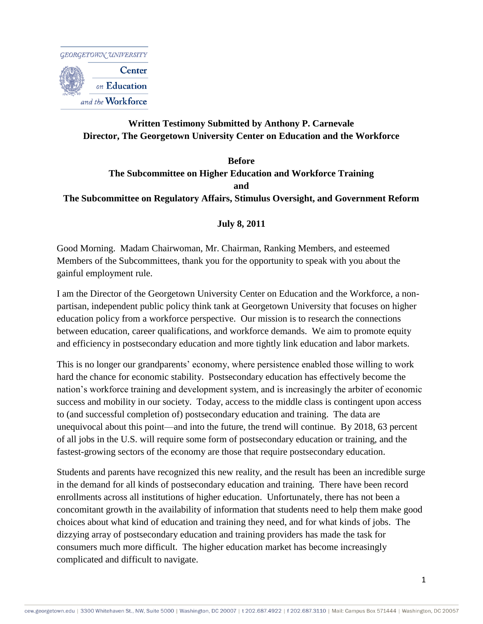

## **Written Testimony Submitted by Anthony P. Carnevale Director, The Georgetown University Center on Education and the Workforce**

# **Before The Subcommittee on Higher Education and Workforce Training and The Subcommittee on Regulatory Affairs, Stimulus Oversight, and Government Reform**

#### **July 8, 2011**

Good Morning. Madam Chairwoman, Mr. Chairman, Ranking Members, and esteemed Members of the Subcommittees, thank you for the opportunity to speak with you about the gainful employment rule.

I am the Director of the Georgetown University Center on Education and the Workforce, a nonpartisan, independent public policy think tank at Georgetown University that focuses on higher education policy from a workforce perspective. Our mission is to research the connections between education, career qualifications, and workforce demands. We aim to promote equity and efficiency in postsecondary education and more tightly link education and labor markets.

This is no longer our grandparents" economy, where persistence enabled those willing to work hard the chance for economic stability. Postsecondary education has effectively become the nation"s workforce training and development system, and is increasingly the arbiter of economic success and mobility in our society. Today, access to the middle class is contingent upon access to (and successful completion of) postsecondary education and training. The data are unequivocal about this point—and into the future, the trend will continue. By 2018, 63 percent of all jobs in the U.S. will require some form of postsecondary education or training, and the fastest-growing sectors of the economy are those that require postsecondary education.

Students and parents have recognized this new reality, and the result has been an incredible surge in the demand for all kinds of postsecondary education and training. There have been record enrollments across all institutions of higher education. Unfortunately, there has not been a concomitant growth in the availability of information that students need to help them make good choices about what kind of education and training they need, and for what kinds of jobs. The dizzying array of postsecondary education and training providers has made the task for consumers much more difficult. The higher education market has become increasingly complicated and difficult to navigate.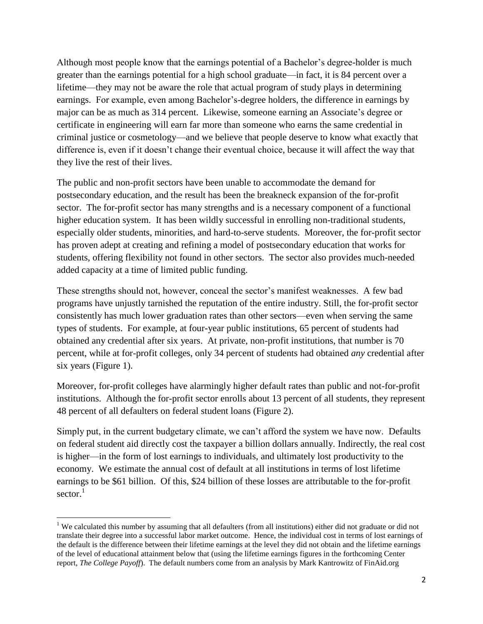Although most people know that the earnings potential of a Bachelor"s degree-holder is much greater than the earnings potential for a high school graduate—in fact, it is 84 percent over a lifetime—they may not be aware the role that actual program of study plays in determining earnings. For example, even among Bachelor"s-degree holders, the difference in earnings by major can be as much as 314 percent. Likewise, someone earning an Associate's degree or certificate in engineering will earn far more than someone who earns the same credential in criminal justice or cosmetology—and we believe that people deserve to know what exactly that difference is, even if it doesn"t change their eventual choice, because it will affect the way that they live the rest of their lives.

The public and non-profit sectors have been unable to accommodate the demand for postsecondary education, and the result has been the breakneck expansion of the for-profit sector. The for-profit sector has many strengths and is a necessary component of a functional higher education system. It has been wildly successful in enrolling non-traditional students, especially older students, minorities, and hard-to-serve students. Moreover, the for-profit sector has proven adept at creating and refining a model of postsecondary education that works for students, offering flexibility not found in other sectors. The sector also provides much-needed added capacity at a time of limited public funding.

These strengths should not, however, conceal the sector"s manifest weaknesses. A few bad programs have unjustly tarnished the reputation of the entire industry. Still, the for-profit sector consistently has much lower graduation rates than other sectors—even when serving the same types of students. For example, at four-year public institutions, 65 percent of students had obtained any credential after six years. At private, non-profit institutions, that number is 70 percent, while at for-profit colleges, only 34 percent of students had obtained *any* credential after six years (Figure 1).

Moreover, for-profit colleges have alarmingly higher default rates than public and not-for-profit institutions. Although the for-profit sector enrolls about 13 percent of all students, they represent 48 percent of all defaulters on federal student loans (Figure 2).

Simply put, in the current budgetary climate, we can't afford the system we have now. Defaults on federal student aid directly cost the taxpayer a billion dollars annually. Indirectly, the real cost is higher—in the form of lost earnings to individuals, and ultimately lost productivity to the economy. We estimate the annual cost of default at all institutions in terms of lost lifetime earnings to be \$61 billion. Of this, \$24 billion of these losses are attributable to the for-profit sector. $1$ 

 $\overline{a}$ 

<sup>&</sup>lt;sup>1</sup> We calculated this number by assuming that all defaulters (from all institutions) either did not graduate or did not translate their degree into a successful labor market outcome. Hence, the individual cost in terms of lost earnings of the default is the difference between their lifetime earnings at the level they did not obtain and the lifetime earnings of the level of educational attainment below that (using the lifetime earnings figures in the forthcoming Center report, *The College Payoff*). The default numbers come from an analysis by Mark Kantrowitz of FinAid.org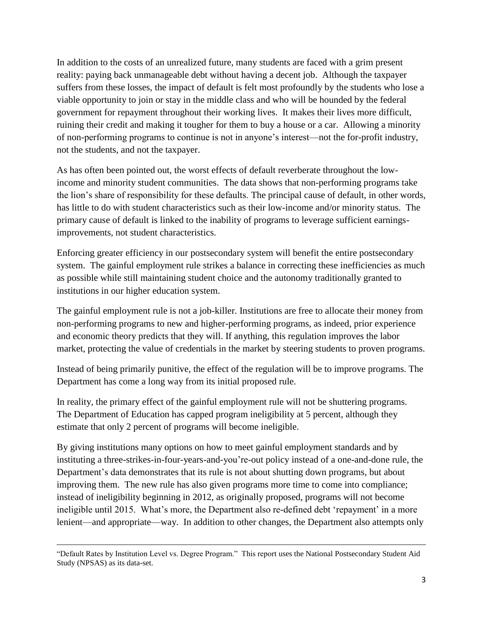In addition to the costs of an unrealized future, many students are faced with a grim present reality: paying back unmanageable debt without having a decent job. Although the taxpayer suffers from these losses, the impact of default is felt most profoundly by the students who lose a viable opportunity to join or stay in the middle class and who will be hounded by the federal government for repayment throughout their working lives. It makes their lives more difficult, ruining their credit and making it tougher for them to buy a house or a car. Allowing a minority of non-performing programs to continue is not in anyone"s interest—not the for-profit industry, not the students, and not the taxpayer.

As has often been pointed out, the worst effects of default reverberate throughout the lowincome and minority student communities. The data shows that non-performing programs take the lion"s share of responsibility for these defaults. The principal cause of default, in other words, has little to do with student characteristics such as their low-income and/or minority status. The primary cause of default is linked to the inability of programs to leverage sufficient earningsimprovements, not student characteristics.

Enforcing greater efficiency in our postsecondary system will benefit the entire postsecondary system. The gainful employment rule strikes a balance in correcting these inefficiencies as much as possible while still maintaining student choice and the autonomy traditionally granted to institutions in our higher education system.

The gainful employment rule is not a job-killer. Institutions are free to allocate their money from non-performing programs to new and higher-performing programs, as indeed, prior experience and economic theory predicts that they will. If anything, this regulation improves the labor market, protecting the value of credentials in the market by steering students to proven programs.

Instead of being primarily punitive, the effect of the regulation will be to improve programs. The Department has come a long way from its initial proposed rule.

In reality, the primary effect of the gainful employment rule will not be shuttering programs. The Department of Education has capped program ineligibility at 5 percent, although they estimate that only 2 percent of programs will become ineligible.

By giving institutions many options on how to meet gainful employment standards and by instituting a three-strikes-in-four-years-and-you"re-out policy instead of a one-and-done rule, the Department's data demonstrates that its rule is not about shutting down programs, but about improving them. The new rule has also given programs more time to come into compliance; instead of ineligibility beginning in 2012, as originally proposed, programs will not become ineligible until 2015. What's more, the Department also re-defined debt 'repayment' in a more lenient—and appropriate—way. In addition to other changes, the Department also attempts only

 $\overline{\phantom{a}}$ 

<sup>&</sup>quot;Default Rates by Institution Level vs. Degree Program." This report uses the National Postsecondary Student Aid Study (NPSAS) as its data-set.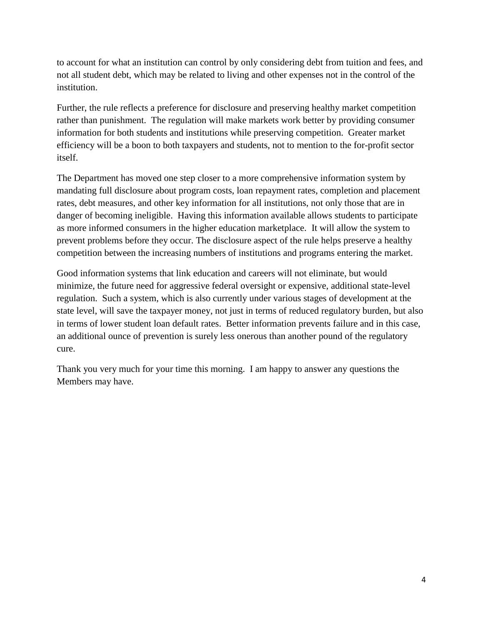to account for what an institution can control by only considering debt from tuition and fees, and not all student debt, which may be related to living and other expenses not in the control of the institution.

Further, the rule reflects a preference for disclosure and preserving healthy market competition rather than punishment. The regulation will make markets work better by providing consumer information for both students and institutions while preserving competition. Greater market efficiency will be a boon to both taxpayers and students, not to mention to the for-profit sector itself.

The Department has moved one step closer to a more comprehensive information system by mandating full disclosure about program costs, loan repayment rates, completion and placement rates, debt measures, and other key information for all institutions, not only those that are in danger of becoming ineligible. Having this information available allows students to participate as more informed consumers in the higher education marketplace. It will allow the system to prevent problems before they occur. The disclosure aspect of the rule helps preserve a healthy competition between the increasing numbers of institutions and programs entering the market.

Good information systems that link education and careers will not eliminate, but would minimize, the future need for aggressive federal oversight or expensive, additional state-level regulation. Such a system, which is also currently under various stages of development at the state level, will save the taxpayer money, not just in terms of reduced regulatory burden, but also in terms of lower student loan default rates. Better information prevents failure and in this case, an additional ounce of prevention is surely less onerous than another pound of the regulatory cure.

Thank you very much for your time this morning. I am happy to answer any questions the Members may have.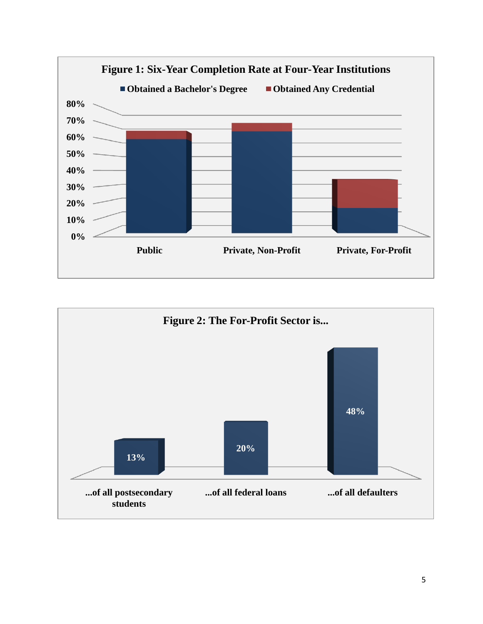